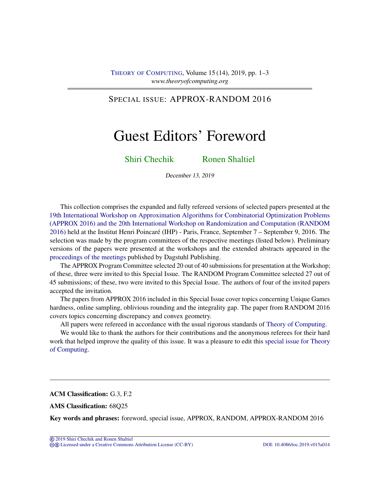## SPECIAL ISSUE: APPROX-RANDOM 2016

# Guest Editors' Foreword

[Shiri Chechik](#page-2-0) [Ronen Shaltiel](#page-2-1)

December 13, 2019

This collection comprises the expanded and fully refereed versions of selected papers presented at the [19th International Workshop on Approximation Algorithms for Combinatorial Optimization Problems](http://cui.unige.ch/tcs/random-approx/2016/) [\(APPROX 2016\) and the 20th International Workshop on Randomization and Computation \(RANDOM](http://cui.unige.ch/tcs/random-approx/2016/) [2016\)](http://cui.unige.ch/tcs/random-approx/2016/) held at the Institut Henri Poincaré (IHP) - Paris, France, September 7 – September 9, 2016. The selection was made by the program committees of the respective meetings (listed below). Preliminary versions of the papers were presented at the workshops and the extended abstracts appeared in the [proceedings of the meetings](http://drops.dagstuhl.de/opus/portals/lipics/index.php?semnr=16019) published by Dagstuhl Publishing.

The APPROX Program Committee selected 20 out of 40 submissions for presentation at the Workshop; of these, three were invited to this Special Issue. The RANDOM Program Committee selected 27 out of 45 submissions; of these, two were invited to this Special Issue. The authors of four of the invited papers accepted the invitation.

The papers from APPROX 2016 included in this Special Issue cover topics concerning Unique Games hardness, online sampling, oblivious rounding and the integrality gap. The paper from RANDOM 2016 covers topics concerning discrepancy and convex geometry.

All papers were refereed in accordance with the usual rigorous standards of [Theory of Computing.](https://doi.org/10.4086/toc)

We would like to thank the authors for their contributions and the anonymous referees for their hard work that helped improve the quality of this issue. It was a pleasure to edit this [special issue for Theory](http://theoryofcomputing.org/categories/APPROX-RANDOM_2016_special_issue.html) [of Computing.](http://theoryofcomputing.org/categories/APPROX-RANDOM_2016_special_issue.html)

ACM Classification: G.3, F.2

AMS Classification: 68Q25

Key words and phrases: foreword, special issue, APPROX, RANDOM, APPROX-RANDOM 2016

<sup>©</sup> [2019 Shiri Chechik and Ronen Shaltiel](http://theoryofcomputing.org/copyright2009.html)

cb [Licensed under a Creative Commons Attribution License \(CC-BY\)](http://creativecommons.org/licenses/by/3.0/) [DOI: 10.4086/toc.2019.v015a014](http://dx.doi.org/10.4086/toc.2019.v015a014)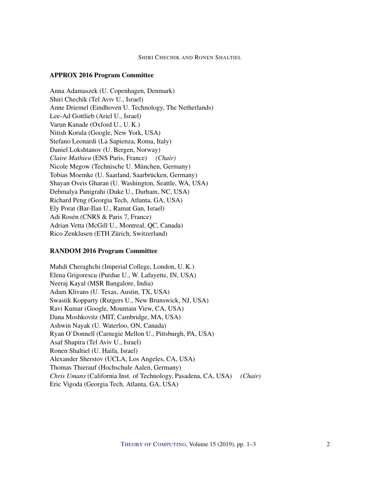#### SHIRI CHECHIK AND RONEN SHALTIEL

#### APPROX 2016 Program Committee

Anna Adamaszek (U. Copenhagen, Denmark) Shiri Chechik (Tel Aviv U., Israel) Anne Driemel (Eindhoven U. Technology, The Netherlands) Lee-Ad Gottlieb (Ariel U., Israel) Varun Kanade (Oxford U., U. K.) Nitish Korula (Google, New York, USA) Stefano Leonardi (La Sapienza, Roma, Italy) Daniel Lokshtanov (U. Bergen, Norway) *Claire Mathieu* (ENS Paris, France) *(Chair)* Nicole Megow (Technische U. München, Germany) Tobias Moemke (U. Saarland, Saarbrücken, Germany) Shayan Oveis Gharan (U. Washington, Seattle, WA, USA) Debmalya Panigrahi (Duke U., Durham, NC, USA) Richard Peng (Georgia Tech, Atlanta, GA, USA) Ely Porat (Bar-Ilan U., Ramat Gan, Israel) Adi Rosén (CNRS & Paris 7, France) Adrian Vetta (McGill U., Montreal, QC, Canada) Rico Zenklusen (ETH Zürich, Switzerland)

#### RANDOM 2016 Program Committee

Mahdi Cheraghchi (Imperial College, London, U. K.) Elena Grigorescu (Purdue U., W. Lafayette, IN, USA) Neeraj Kayal (MSR Bangalore, India) Adam Klivans (U. Texas, Austin, TX, USA) Swastik Kopparty (Rutgers U., New Brunswick, NJ, USA) Ravi Kumar (Google, Mountain View, CA, USA) Dana Moshkovitz (MIT, Cambridge, MA, USA) Ashwin Nayak (U. Waterloo, ON, Canada) Ryan O'Donnell (Carnegie Mellon U., Pittsburgh, PA, USA) Asaf Shapira (Tel Aviv U., Israel) Ronen Shaltiel (U. Haifa, Israel) Alexander Sherstov (UCLA, Los Angeles, CA, USA) Thomas Thierauf (Hochschule Aalen, Germany) *Chris Umans* (California Inst. of Technology, Pasadena, CA, USA) *(Chair)* Eric Vigoda (Georgia Tech, Atlanta, GA, USA)